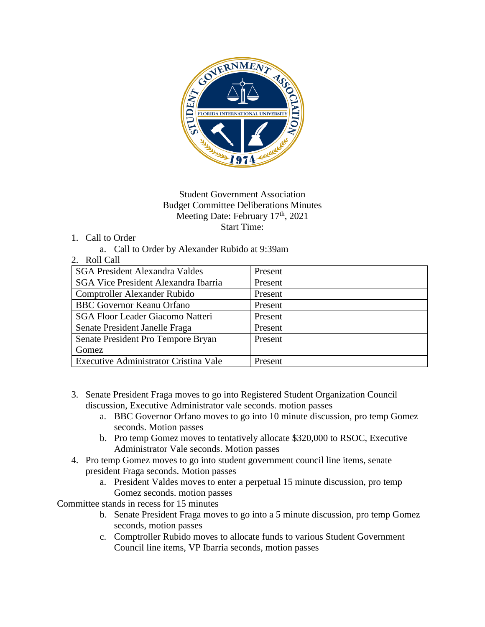

## Student Government Association Budget Committee Deliberations Minutes Meeting Date: February 17<sup>th</sup>, 2021 Start Time:

## 1. Call to Order

- a. Call to Order by Alexander Rubido at 9:39am
- 2. Roll Call

| <b>SGA President Alexandra Valdes</b>       | Present |
|---------------------------------------------|---------|
| <b>SGA Vice President Alexandra Ibarria</b> | Present |
| Comptroller Alexander Rubido                | Present |
| <b>BBC</b> Governor Keanu Orfano            | Present |
| <b>SGA Floor Leader Giacomo Natteri</b>     | Present |
| Senate President Janelle Fraga              | Present |
| Senate President Pro Tempore Bryan          | Present |
| Gomez                                       |         |
| Executive Administrator Cristina Vale       | Present |
|                                             |         |

- 3. Senate President Fraga moves to go into Registered Student Organization Council discussion, Executive Administrator vale seconds. motion passes
	- a. BBC Governor Orfano moves to go into 10 minute discussion, pro temp Gomez seconds. Motion passes
	- b. Pro temp Gomez moves to tentatively allocate \$320,000 to RSOC, Executive Administrator Vale seconds. Motion passes
- 4. Pro temp Gomez moves to go into student government council line items, senate president Fraga seconds. Motion passes
	- a. President Valdes moves to enter a perpetual 15 minute discussion, pro temp Gomez seconds. motion passes

Committee stands in recess for 15 minutes

- b. Senate President Fraga moves to go into a 5 minute discussion, pro temp Gomez seconds, motion passes
- c. Comptroller Rubido moves to allocate funds to various Student Government Council line items, VP Ibarria seconds, motion passes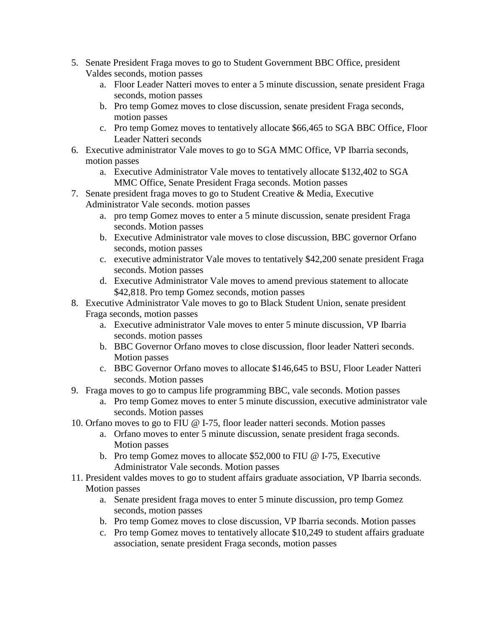- 5. Senate President Fraga moves to go to Student Government BBC Office, president Valdes seconds, motion passes
	- a. Floor Leader Natteri moves to enter a 5 minute discussion, senate president Fraga seconds, motion passes
	- b. Pro temp Gomez moves to close discussion, senate president Fraga seconds, motion passes
	- c. Pro temp Gomez moves to tentatively allocate \$66,465 to SGA BBC Office, Floor Leader Natteri seconds
- 6. Executive administrator Vale moves to go to SGA MMC Office, VP Ibarria seconds, motion passes
	- a. Executive Administrator Vale moves to tentatively allocate \$132,402 to SGA MMC Office, Senate President Fraga seconds. Motion passes
- 7. Senate president fraga moves to go to Student Creative & Media, Executive Administrator Vale seconds. motion passes
	- a. pro temp Gomez moves to enter a 5 minute discussion, senate president Fraga seconds. Motion passes
	- b. Executive Administrator vale moves to close discussion, BBC governor Orfano seconds, motion passes
	- c. executive administrator Vale moves to tentatively \$42,200 senate president Fraga seconds. Motion passes
	- d. Executive Administrator Vale moves to amend previous statement to allocate \$42,818. Pro temp Gomez seconds, motion passes
- 8. Executive Administrator Vale moves to go to Black Student Union, senate president Fraga seconds, motion passes
	- a. Executive administrator Vale moves to enter 5 minute discussion, VP Ibarria seconds. motion passes
	- b. BBC Governor Orfano moves to close discussion, floor leader Natteri seconds. Motion passes
	- c. BBC Governor Orfano moves to allocate \$146,645 to BSU, Floor Leader Natteri seconds. Motion passes
- 9. Fraga moves to go to campus life programming BBC, vale seconds. Motion passes
	- a. Pro temp Gomez moves to enter 5 minute discussion, executive administrator vale seconds. Motion passes
- 10. Orfano moves to go to FIU @ I-75, floor leader natteri seconds. Motion passes
	- a. Orfano moves to enter 5 minute discussion, senate president fraga seconds. Motion passes
	- b. Pro temp Gomez moves to allocate \$52,000 to FIU @ I-75, Executive Administrator Vale seconds. Motion passes
- 11. President valdes moves to go to student affairs graduate association, VP Ibarria seconds. Motion passes
	- a. Senate president fraga moves to enter 5 minute discussion, pro temp Gomez seconds, motion passes
	- b. Pro temp Gomez moves to close discussion, VP Ibarria seconds. Motion passes
	- c. Pro temp Gomez moves to tentatively allocate \$10,249 to student affairs graduate association, senate president Fraga seconds, motion passes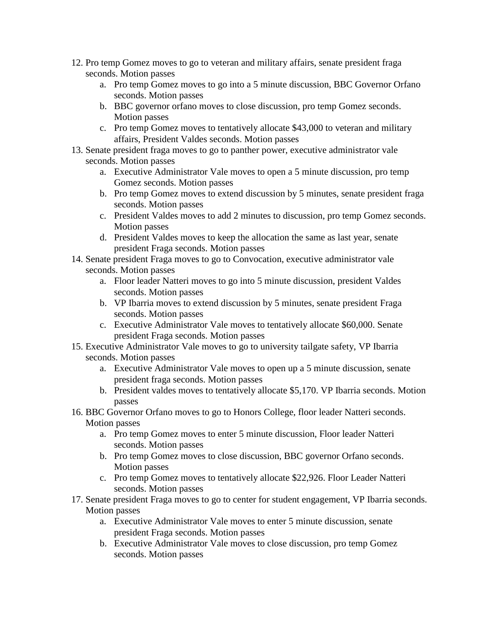- 12. Pro temp Gomez moves to go to veteran and military affairs, senate president fraga seconds. Motion passes
	- a. Pro temp Gomez moves to go into a 5 minute discussion, BBC Governor Orfano seconds. Motion passes
	- b. BBC governor orfano moves to close discussion, pro temp Gomez seconds. Motion passes
	- c. Pro temp Gomez moves to tentatively allocate \$43,000 to veteran and military affairs, President Valdes seconds. Motion passes
- 13. Senate president fraga moves to go to panther power, executive administrator vale seconds. Motion passes
	- a. Executive Administrator Vale moves to open a 5 minute discussion, pro temp Gomez seconds. Motion passes
	- b. Pro temp Gomez moves to extend discussion by 5 minutes, senate president fraga seconds. Motion passes
	- c. President Valdes moves to add 2 minutes to discussion, pro temp Gomez seconds. Motion passes
	- d. President Valdes moves to keep the allocation the same as last year, senate president Fraga seconds. Motion passes
- 14. Senate president Fraga moves to go to Convocation, executive administrator vale seconds. Motion passes
	- a. Floor leader Natteri moves to go into 5 minute discussion, president Valdes seconds. Motion passes
	- b. VP Ibarria moves to extend discussion by 5 minutes, senate president Fraga seconds. Motion passes
	- c. Executive Administrator Vale moves to tentatively allocate \$60,000. Senate president Fraga seconds. Motion passes
- 15. Executive Administrator Vale moves to go to university tailgate safety, VP Ibarria seconds. Motion passes
	- a. Executive Administrator Vale moves to open up a 5 minute discussion, senate president fraga seconds. Motion passes
	- b. President valdes moves to tentatively allocate \$5,170. VP Ibarria seconds. Motion passes
- 16. BBC Governor Orfano moves to go to Honors College, floor leader Natteri seconds. Motion passes
	- a. Pro temp Gomez moves to enter 5 minute discussion, Floor leader Natteri seconds. Motion passes
	- b. Pro temp Gomez moves to close discussion, BBC governor Orfano seconds. Motion passes
	- c. Pro temp Gomez moves to tentatively allocate \$22,926. Floor Leader Natteri seconds. Motion passes
- 17. Senate president Fraga moves to go to center for student engagement, VP Ibarria seconds. Motion passes
	- a. Executive Administrator Vale moves to enter 5 minute discussion, senate president Fraga seconds. Motion passes
	- b. Executive Administrator Vale moves to close discussion, pro temp Gomez seconds. Motion passes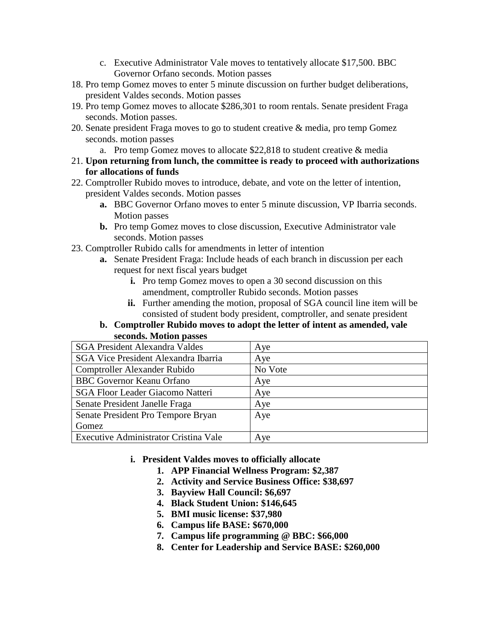- c. Executive Administrator Vale moves to tentatively allocate \$17,500. BBC Governor Orfano seconds. Motion passes
- 18. Pro temp Gomez moves to enter 5 minute discussion on further budget deliberations, president Valdes seconds. Motion passes
- 19. Pro temp Gomez moves to allocate \$286,301 to room rentals. Senate president Fraga seconds. Motion passes.
- 20. Senate president Fraga moves to go to student creative & media, pro temp Gomez seconds. motion passes
	- a. Pro temp Gomez moves to allocate \$22,818 to student creative & media
- 21. **Upon returning from lunch, the committee is ready to proceed with authorizations for allocations of funds**
- 22. Comptroller Rubido moves to introduce, debate, and vote on the letter of intention, president Valdes seconds. Motion passes
	- **a.** BBC Governor Orfano moves to enter 5 minute discussion, VP Ibarria seconds. Motion passes
	- **b.** Pro temp Gomez moves to close discussion, Executive Administrator vale seconds. Motion passes
- 23. Comptroller Rubido calls for amendments in letter of intention
	- **a.** Senate President Fraga: Include heads of each branch in discussion per each request for next fiscal years budget
		- **i.** Pro temp Gomez moves to open a 30 second discussion on this amendment, comptroller Rubido seconds. Motion passes
		- **ii.** Further amending the motion, proposal of SGA council line item will be consisted of student body president, comptroller, and senate president

## **b. Comptroller Rubido moves to adopt the letter of intent as amended, vale seconds. Motion passes**

| <b>SGA President Alexandra Valdes</b>       | Aye     |
|---------------------------------------------|---------|
| <b>SGA Vice President Alexandra Ibarria</b> | Aye     |
| Comptroller Alexander Rubido                | No Vote |
| <b>BBC</b> Governor Keanu Orfano            | Aye     |
| <b>SGA Floor Leader Giacomo Natteri</b>     | Aye     |
| Senate President Janelle Fraga              | Aye     |
| Senate President Pro Tempore Bryan          | Aye     |
| Gomez                                       |         |
| Executive Administrator Cristina Vale       | Aye     |

- **i. President Valdes moves to officially allocate** 
	- **1. APP Financial Wellness Program: \$2,387**
	- **2. Activity and Service Business Office: \$38,697**
	- **3. Bayview Hall Council: \$6,697**
	- **4. Black Student Union: \$146,645**
	- **5. BMI music license: \$37,980**
	- **6. Campus life BASE: \$670,000**
	- **7. Campus life programming @ BBC: \$66,000**
	- **8. Center for Leadership and Service BASE: \$260,000**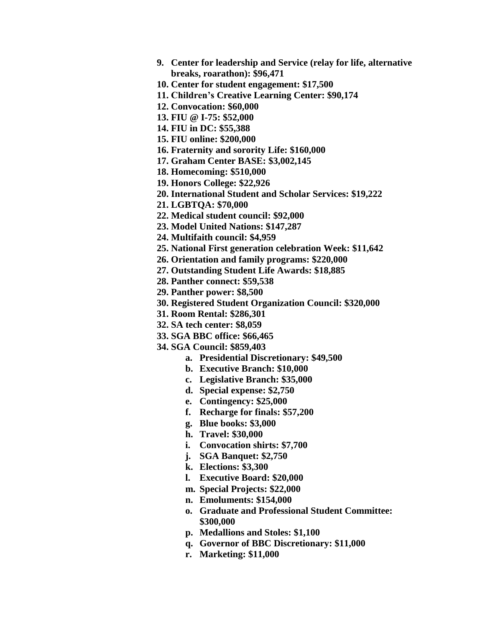- **9. Center for leadership and Service (relay for life, alternative breaks, roarathon): \$96,471**
- **10. Center for student engagement: \$17,500**
- **11. Children's Creative Learning Center: \$90,174**
- **12. Convocation: \$60,000**
- **13. FIU @ I-75: \$52,000**
- **14. FIU in DC: \$55,388**
- **15. FIU online: \$200,000**
- **16. Fraternity and sorority Life: \$160,000**
- **17. Graham Center BASE: \$3,002,145**
- **18. Homecoming: \$510,000**
- **19. Honors College: \$22,926**
- **20. International Student and Scholar Services: \$19,222**
- **21. LGBTQA: \$70,000**
- **22. Medical student council: \$92,000**
- **23. Model United Nations: \$147,287**
- **24. Multifaith council: \$4,959**
- **25. National First generation celebration Week: \$11,642**
- **26. Orientation and family programs: \$220,000**
- **27. Outstanding Student Life Awards: \$18,885**
- **28. Panther connect: \$59,538**
- **29. Panther power: \$8,500**
- **30. Registered Student Organization Council: \$320,000**
- **31. Room Rental: \$286,301**
- **32. SA tech center: \$8,059**
- **33. SGA BBC office: \$66,465**
- **34. SGA Council: \$859,403**
	- **a. Presidential Discretionary: \$49,500**
	- **b. Executive Branch: \$10,000**
	- **c. Legislative Branch: \$35,000**
	- **d. Special expense: \$2,750**
	- **e. Contingency: \$25,000**
	- **f. Recharge for finals: \$57,200**
	- **g. Blue books: \$3,000**
	- **h. Travel: \$30,000**
	- **i. Convocation shirts: \$7,700**
	- **j. SGA Banquet: \$2,750**
	- **k. Elections: \$3,300**
	- **l. Executive Board: \$20,000**
	- **m. Special Projects: \$22,000**
	- **n. Emoluments: \$154,000**
	- **o. Graduate and Professional Student Committee: \$300,000**
	- **p. Medallions and Stoles: \$1,100**
	- **q. Governor of BBC Discretionary: \$11,000**
	- **r. Marketing: \$11,000**